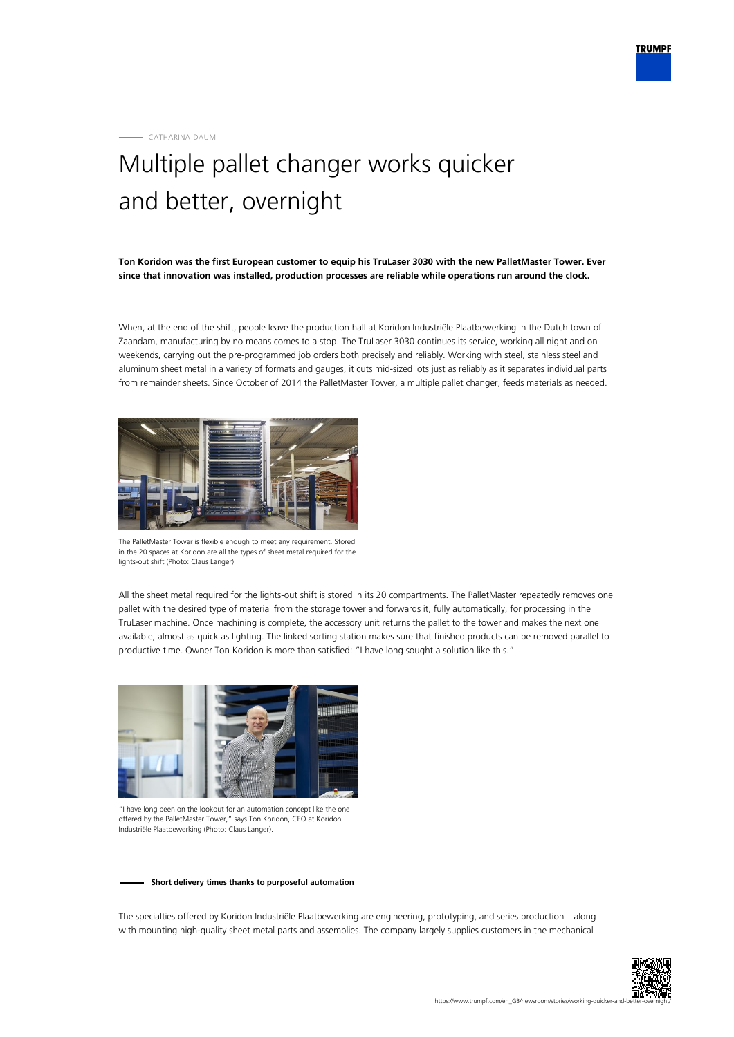CATHARINA DAUM

## Multiple pallet changer works quicker and better, overnight

**Ton Koridon was the first European customer to equip his TruLaser 3030 with the new PalletMaster Tower. Ever since that innovation was installed, production processes are reliable while operations run around the clock.**

When, at the end of the shift, people leave the production hall at Koridon Industriële Plaatbewerking in the Dutch town of Zaandam, manufacturing by no means comes to a stop. The TruLaser 3030 continues its service, working all night and on weekends, carrying out the pre-programmed job orders both precisely and reliably. Working with steel, stainless steel and aluminum sheet metal in a variety of formats and gauges, it cuts mid-sized lots just as reliably as it separates individual parts from remainder sheets. Since October of 2014 the PalletMaster Tower, a multiple pallet changer, feeds materials as needed.



The PalletMaster Tower is flexible enough to meet any requirement. Stored in the 20 spaces at Koridon are all the types of sheet metal required for the lights-out shift (Photo: Claus Langer).

All the sheet metal required for the lights-out shift is stored in its 20 compartments. The PalletMaster repeatedly removes one pallet with the desired type of material from the storage tower and forwards it, fully automatically, for processing in the TruLaser machine. Once machining is complete, the accessory unit returns the pallet to the tower and makes the next one available, almost as quick as lighting. The linked sorting station makes sure that finished products can be removed parallel to productive time. Owner Ton Koridon is more than satisfied: "I have long sought a solution like this."



"I have long been on the lookout for an automation concept like the one offered by the PalletMaster Tower," says Ton Koridon, CEO at Koridon Industriële Plaatbewerking (Photo: Claus Langer).

## **Short delivery times thanks to purposeful automation**

The specialties offered by Koridon Industriële Plaatbewerking are engineering, prototyping, and series production – along with mounting high-quality sheet metal parts and assemblies. The company largely supplies customers in the mechanical

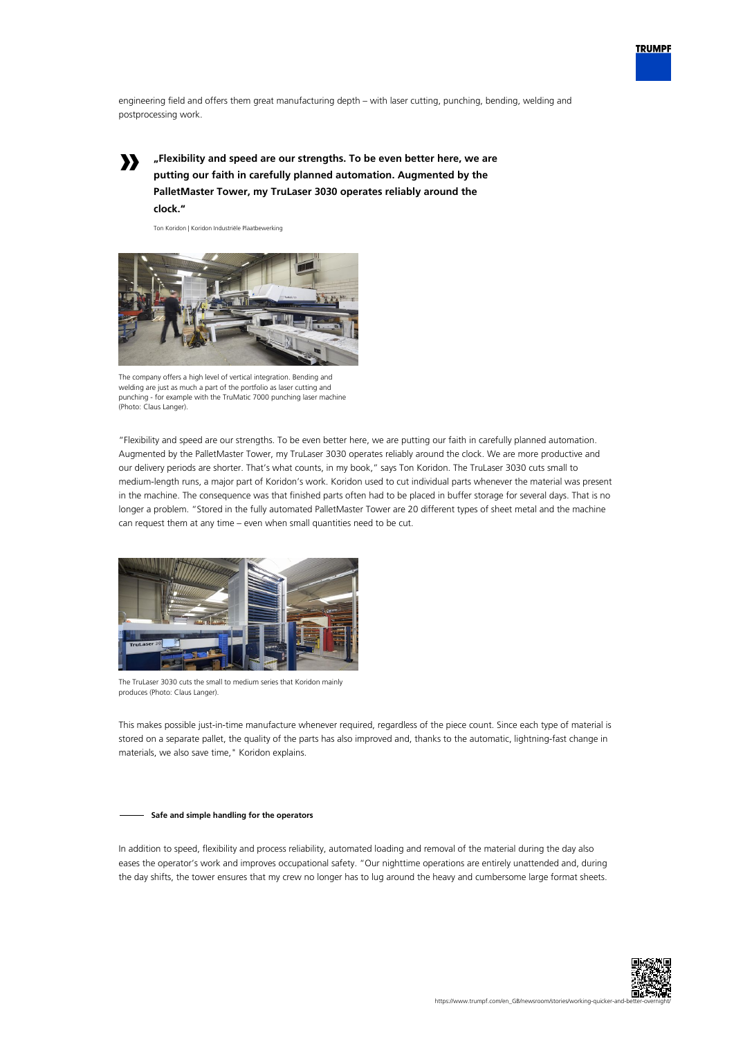

engineering field and offers them great manufacturing depth – with laser cutting, punching, bending, welding and postprocessing work.

**»**

**"Flexibility and speed are our strengths. To be even better here, we are putting our faith in carefully planned automation. Augmented by the PalletMaster Tower, my TruLaser 3030 operates reliably around the clock."**

Ton Koridon | Koridon Industriële Plaatbewerking



The company offers a high level of vertical integration. Bending and welding are just as much a part of the portfolio as laser cutting and punching - for example with the TruMatic 7000 punching laser machine (Photo: Claus Langer).

"Flexibility and speed are our strengths. To be even better here, we are putting our faith in carefully planned automation. Augmented by the PalletMaster Tower, my TruLaser 3030 operates reliably around the clock. We are more productive and our delivery periods are shorter. That's what counts, in my book," says Ton Koridon. The TruLaser 3030 cuts small to medium-length runs, a major part of Koridon's work. Koridon used to cut individual parts whenever the material was present in the machine. The consequence was that finished parts often had to be placed in buffer storage for several days. That is no longer a problem. "Stored in the fully automated PalletMaster Tower are 20 different types of sheet metal and the machine can request them at any time – even when small quantities need to be cut.



The TruLaser 3030 cuts the small to medium series that Koridon mainly produces (Photo: Claus Langer).

This makes possible just-in-time manufacture whenever required, regardless of the piece count. Since each type of material is stored on a separate pallet, the quality of the parts has also improved and, thanks to the automatic, lightning-fast change in materials, we also save time," Koridon explains.

## **Safe and simple handling for the operators**

In addition to speed, flexibility and process reliability, automated loading and removal of the material during the day also eases the operator's work and improves occupational safety. "Our nighttime operations are entirely unattended and, during the day shifts, the tower ensures that my crew no longer has to lug around the heavy and cumbersome large format sheets.